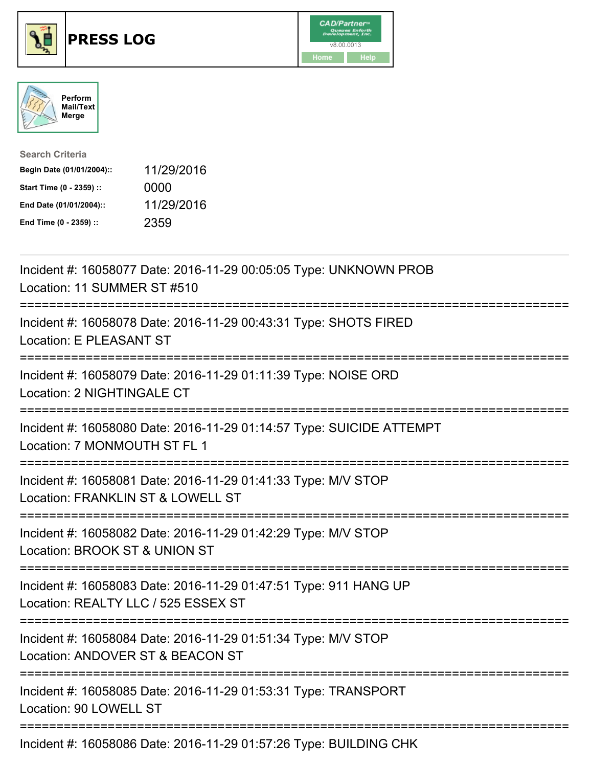





| <b>Search Criteria</b>    |            |
|---------------------------|------------|
| Begin Date (01/01/2004):: | 11/29/2016 |
| Start Time (0 - 2359) ::  | 0000       |
| End Date (01/01/2004)::   | 11/29/2016 |
| End Time (0 - 2359) ::    | 2359       |

| Incident #: 16058077 Date: 2016-11-29 00:05:05 Type: UNKNOWN PROB<br>Location: 11 SUMMER ST #510        |  |
|---------------------------------------------------------------------------------------------------------|--|
| Incident #: 16058078 Date: 2016-11-29 00:43:31 Type: SHOTS FIRED<br>Location: E PLEASANT ST             |  |
| Incident #: 16058079 Date: 2016-11-29 01:11:39 Type: NOISE ORD<br>Location: 2 NIGHTINGALE CT            |  |
| Incident #: 16058080 Date: 2016-11-29 01:14:57 Type: SUICIDE ATTEMPT<br>Location: 7 MONMOUTH ST FL 1    |  |
| Incident #: 16058081 Date: 2016-11-29 01:41:33 Type: M/V STOP<br>Location: FRANKLIN ST & LOWELL ST      |  |
| Incident #: 16058082 Date: 2016-11-29 01:42:29 Type: M/V STOP<br>Location: BROOK ST & UNION ST          |  |
| Incident #: 16058083 Date: 2016-11-29 01:47:51 Type: 911 HANG UP<br>Location: REALTY LLC / 525 ESSEX ST |  |
| Incident #: 16058084 Date: 2016-11-29 01:51:34 Type: M/V STOP<br>Location: ANDOVER ST & BEACON ST       |  |
| Incident #: 16058085 Date: 2016-11-29 01:53:31 Type: TRANSPORT<br>Location: 90 LOWELL ST                |  |
| Incident #: 16050006 Deta: 2016 11, 20 01:57:26 Tune: DUILDING CUK                                      |  |

Incident #: 16058086 Date: 2016-11-29 01:57:26 Type: BUILDING CHK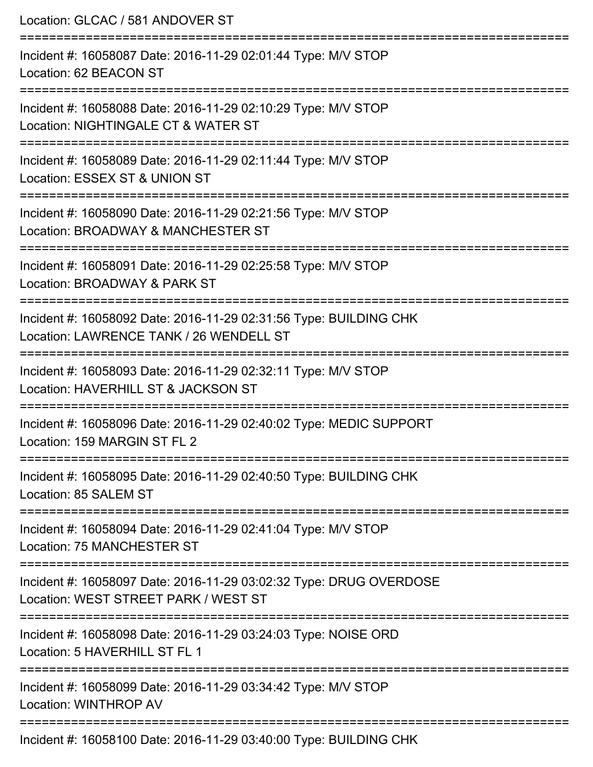| Location: GLCAC / 581 ANDOVER ST                                                                                                                    |  |
|-----------------------------------------------------------------------------------------------------------------------------------------------------|--|
| ====================<br>Incident #: 16058087 Date: 2016-11-29 02:01:44 Type: M/V STOP<br>Location: 62 BEACON ST                                     |  |
| Incident #: 16058088 Date: 2016-11-29 02:10:29 Type: M/V STOP<br>Location: NIGHTINGALE CT & WATER ST<br>==================                          |  |
| Incident #: 16058089 Date: 2016-11-29 02:11:44 Type: M/V STOP<br>Location: ESSEX ST & UNION ST                                                      |  |
| ---------------------<br>-------------<br>Incident #: 16058090 Date: 2016-11-29 02:21:56 Type: M/V STOP<br>Location: BROADWAY & MANCHESTER ST       |  |
| Incident #: 16058091 Date: 2016-11-29 02:25:58 Type: M/V STOP<br>Location: BROADWAY & PARK ST                                                       |  |
| :==================================<br>Incident #: 16058092 Date: 2016-11-29 02:31:56 Type: BUILDING CHK<br>Location: LAWRENCE TANK / 26 WENDELL ST |  |
| Incident #: 16058093 Date: 2016-11-29 02:32:11 Type: M/V STOP<br>Location: HAVERHILL ST & JACKSON ST                                                |  |
| Incident #: 16058096 Date: 2016-11-29 02:40:02 Type: MEDIC SUPPORT<br>Location: 159 MARGIN ST FL 2                                                  |  |
| Incident #: 16058095 Date: 2016-11-29 02:40:50 Type: BUILDING CHK<br>Location: 85 SALEM ST                                                          |  |
| Incident #: 16058094 Date: 2016-11-29 02:41:04 Type: M/V STOP<br><b>Location: 75 MANCHESTER ST</b>                                                  |  |
| Incident #: 16058097 Date: 2016-11-29 03:02:32 Type: DRUG OVERDOSE<br>Location: WEST STREET PARK / WEST ST                                          |  |
| Incident #: 16058098 Date: 2016-11-29 03:24:03 Type: NOISE ORD<br>Location: 5 HAVERHILL ST FL 1                                                     |  |
| Incident #: 16058099 Date: 2016-11-29 03:34:42 Type: M/V STOP<br>Location: WINTHROP AV                                                              |  |
| Incident #: 16058100 Date: 2016-11-29 03:40:00 Type: BUILDING CHK                                                                                   |  |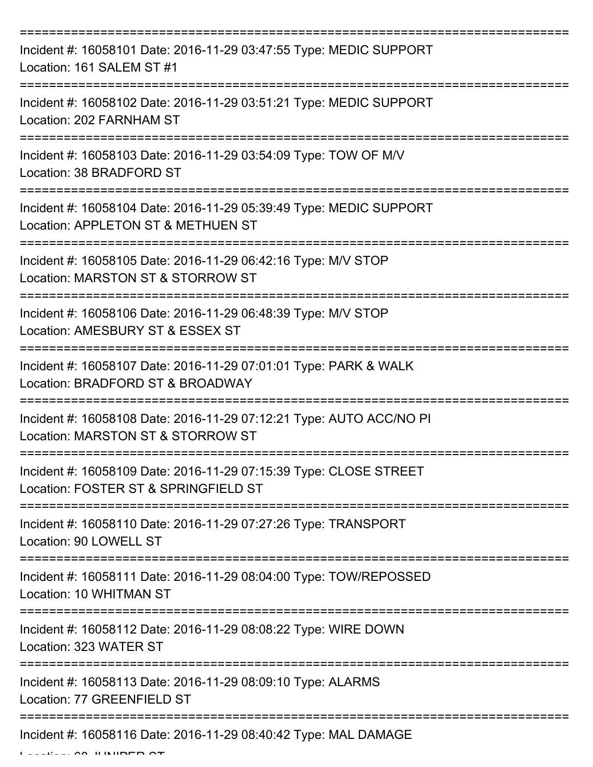| Incident #: 16058101 Date: 2016-11-29 03:47:55 Type: MEDIC SUPPORT<br>Location: 161 SALEM ST #1           |
|-----------------------------------------------------------------------------------------------------------|
| Incident #: 16058102 Date: 2016-11-29 03:51:21 Type: MEDIC SUPPORT<br>Location: 202 FARNHAM ST            |
| Incident #: 16058103 Date: 2016-11-29 03:54:09 Type: TOW OF M/V<br>Location: 38 BRADFORD ST               |
| Incident #: 16058104 Date: 2016-11-29 05:39:49 Type: MEDIC SUPPORT<br>Location: APPLETON ST & METHUEN ST  |
| Incident #: 16058105 Date: 2016-11-29 06:42:16 Type: M/V STOP<br>Location: MARSTON ST & STORROW ST        |
| Incident #: 16058106 Date: 2016-11-29 06:48:39 Type: M/V STOP<br>Location: AMESBURY ST & ESSEX ST         |
| Incident #: 16058107 Date: 2016-11-29 07:01:01 Type: PARK & WALK<br>Location: BRADFORD ST & BROADWAY      |
| Incident #: 16058108 Date: 2016-11-29 07:12:21 Type: AUTO ACC/NO PI<br>Location: MARSTON ST & STORROW ST  |
| Incident #: 16058109 Date: 2016-11-29 07:15:39 Type: CLOSE STREET<br>Location: FOSTER ST & SPRINGFIELD ST |
| Incident #: 16058110 Date: 2016-11-29 07:27:26 Type: TRANSPORT<br>Location: 90 LOWELL ST                  |
| Incident #: 16058111 Date: 2016-11-29 08:04:00 Type: TOW/REPOSSED<br>Location: 10 WHITMAN ST              |
| Incident #: 16058112 Date: 2016-11-29 08:08:22 Type: WIRE DOWN<br>Location: 323 WATER ST                  |
| Incident #: 16058113 Date: 2016-11-29 08:09:10 Type: ALARMS<br>Location: 77 GREENFIELD ST                 |
| Incident #: 16058116 Date: 2016-11-29 08:40:42 Type: MAL DAMAGE                                           |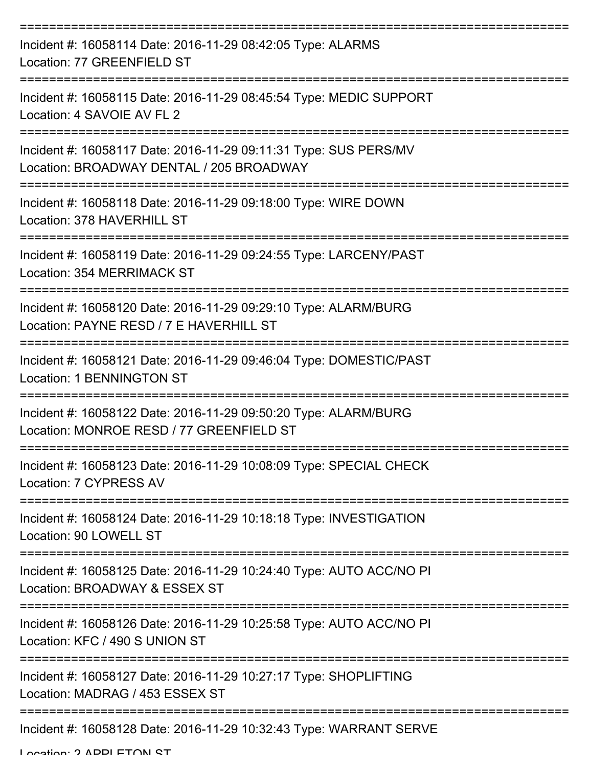| Incident #: 16058114 Date: 2016-11-29 08:42:05 Type: ALARMS<br>Location: 77 GREENFIELD ST                                          |
|------------------------------------------------------------------------------------------------------------------------------------|
| Incident #: 16058115 Date: 2016-11-29 08:45:54 Type: MEDIC SUPPORT<br>Location: 4 SAVOIE AV FL 2                                   |
| Incident #: 16058117 Date: 2016-11-29 09:11:31 Type: SUS PERS/MV<br>Location: BROADWAY DENTAL / 205 BROADWAY<br>=================  |
| Incident #: 16058118 Date: 2016-11-29 09:18:00 Type: WIRE DOWN<br>Location: 378 HAVERHILL ST                                       |
| Incident #: 16058119 Date: 2016-11-29 09:24:55 Type: LARCENY/PAST<br>Location: 354 MERRIMACK ST<br>=============                   |
| Incident #: 16058120 Date: 2016-11-29 09:29:10 Type: ALARM/BURG<br>Location: PAYNE RESD / 7 E HAVERHILL ST<br>-------------------- |
| Incident #: 16058121 Date: 2016-11-29 09:46:04 Type: DOMESTIC/PAST<br><b>Location: 1 BENNINGTON ST</b>                             |
| Incident #: 16058122 Date: 2016-11-29 09:50:20 Type: ALARM/BURG<br>Location: MONROE RESD / 77 GREENFIELD ST                        |
| Incident #: 16058123 Date: 2016-11-29 10:08:09 Type: SPECIAL CHECK<br>Location: 7 CYPRESS AV                                       |
| Incident #: 16058124 Date: 2016-11-29 10:18:18 Type: INVESTIGATION<br>Location: 90 LOWELL ST                                       |
| Incident #: 16058125 Date: 2016-11-29 10:24:40 Type: AUTO ACC/NO PI<br>Location: BROADWAY & ESSEX ST                               |
| Incident #: 16058126 Date: 2016-11-29 10:25:58 Type: AUTO ACC/NO PI<br>Location: KFC / 490 S UNION ST                              |
| Incident #: 16058127 Date: 2016-11-29 10:27:17 Type: SHOPLIFTING<br>Location: MADRAG / 453 ESSEX ST                                |
| Incident #: 16058128 Date: 2016-11-29 10:32:43 Type: WARRANT SERVE                                                                 |

Location: 2 ADDI ETOM ST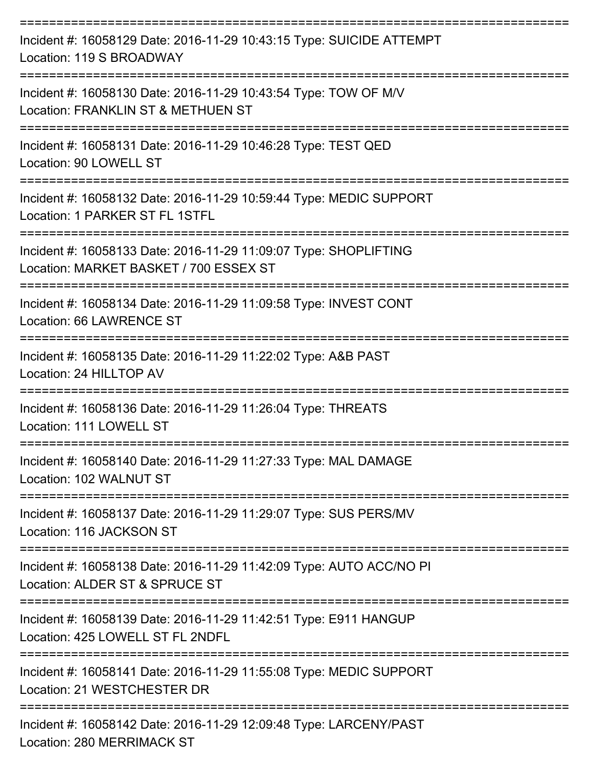| Incident #: 16058129 Date: 2016-11-29 10:43:15 Type: SUICIDE ATTEMPT<br>Location: 119 S BROADWAY           |
|------------------------------------------------------------------------------------------------------------|
| Incident #: 16058130 Date: 2016-11-29 10:43:54 Type: TOW OF M/V<br>Location: FRANKLIN ST & METHUEN ST      |
| Incident #: 16058131 Date: 2016-11-29 10:46:28 Type: TEST QED<br>Location: 90 LOWELL ST                    |
| Incident #: 16058132 Date: 2016-11-29 10:59:44 Type: MEDIC SUPPORT<br>Location: 1 PARKER ST FL 1STFL       |
| Incident #: 16058133 Date: 2016-11-29 11:09:07 Type: SHOPLIFTING<br>Location: MARKET BASKET / 700 ESSEX ST |
| Incident #: 16058134 Date: 2016-11-29 11:09:58 Type: INVEST CONT<br>Location: 66 LAWRENCE ST               |
| Incident #: 16058135 Date: 2016-11-29 11:22:02 Type: A&B PAST<br>Location: 24 HILLTOP AV                   |
| Incident #: 16058136 Date: 2016-11-29 11:26:04 Type: THREATS<br>Location: 111 LOWELL ST                    |
| Incident #: 16058140 Date: 2016-11-29 11:27:33 Type: MAL DAMAGE<br>Location: 102 WALNUT ST                 |
| Incident #: 16058137 Date: 2016-11-29 11:29:07 Type: SUS PERS/MV<br>Location: 116 JACKSON ST               |
| Incident #: 16058138 Date: 2016-11-29 11:42:09 Type: AUTO ACC/NO PI<br>Location: ALDER ST & SPRUCE ST      |
| Incident #: 16058139 Date: 2016-11-29 11:42:51 Type: E911 HANGUP<br>Location: 425 LOWELL ST FL 2NDFL       |
| Incident #: 16058141 Date: 2016-11-29 11:55:08 Type: MEDIC SUPPORT<br>Location: 21 WESTCHESTER DR          |
| Incident #: 16058142 Date: 2016-11-29 12:09:48 Type: LARCENY/PAST<br>Location: 280 MERRIMACK ST            |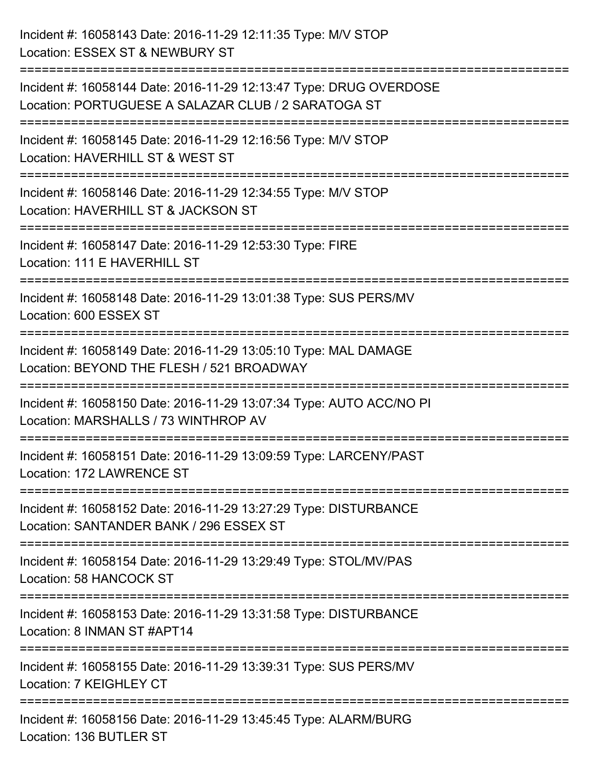| Incident #: 16058143 Date: 2016-11-29 12:11:35 Type: M/V STOP<br>Location: ESSEX ST & NEWBURY ST                                      |
|---------------------------------------------------------------------------------------------------------------------------------------|
| Incident #: 16058144 Date: 2016-11-29 12:13:47 Type: DRUG OVERDOSE<br>Location: PORTUGUESE A SALAZAR CLUB / 2 SARATOGA ST             |
| Incident #: 16058145 Date: 2016-11-29 12:16:56 Type: M/V STOP<br>Location: HAVERHILL ST & WEST ST<br>:=============================== |
| Incident #: 16058146 Date: 2016-11-29 12:34:55 Type: M/V STOP<br>Location: HAVERHILL ST & JACKSON ST                                  |
| Incident #: 16058147 Date: 2016-11-29 12:53:30 Type: FIRE<br>Location: 111 E HAVERHILL ST                                             |
| Incident #: 16058148 Date: 2016-11-29 13:01:38 Type: SUS PERS/MV<br>Location: 600 ESSEX ST                                            |
| Incident #: 16058149 Date: 2016-11-29 13:05:10 Type: MAL DAMAGE<br>Location: BEYOND THE FLESH / 521 BROADWAY<br>=================     |
| Incident #: 16058150 Date: 2016-11-29 13:07:34 Type: AUTO ACC/NO PI<br>Location: MARSHALLS / 73 WINTHROP AV                           |
| Incident #: 16058151 Date: 2016-11-29 13:09:59 Type: LARCENY/PAST<br>Location: 172 LAWRENCE ST                                        |
| Incident #: 16058152 Date: 2016-11-29 13:27:29 Type: DISTURBANCE<br>Location: SANTANDER BANK / 296 ESSEX ST                           |
| :=================================<br>Incident #: 16058154 Date: 2016-11-29 13:29:49 Type: STOL/MV/PAS<br>Location: 58 HANCOCK ST     |
| Incident #: 16058153 Date: 2016-11-29 13:31:58 Type: DISTURBANCE<br>Location: 8 INMAN ST #APT14                                       |
| Incident #: 16058155 Date: 2016-11-29 13:39:31 Type: SUS PERS/MV<br>Location: 7 KEIGHLEY CT                                           |
| Incident #: 16058156 Date: 2016-11-29 13:45:45 Type: ALARM/BURG<br>Location: 136 BUTLER ST                                            |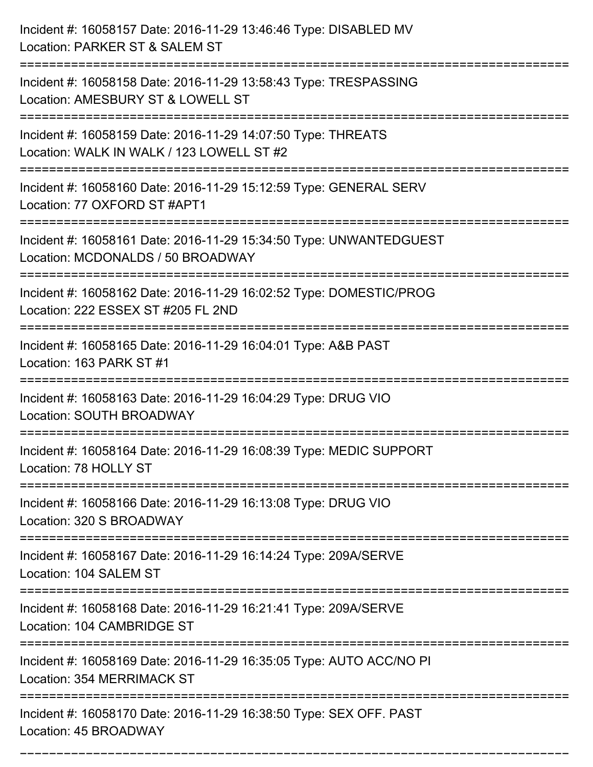| Incident #: 16058157 Date: 2016-11-29 13:46:46 Type: DISABLED MV<br>Location: PARKER ST & SALEM ST                                      |
|-----------------------------------------------------------------------------------------------------------------------------------------|
| :=======================<br>Incident #: 16058158 Date: 2016-11-29 13:58:43 Type: TRESPASSING<br>Location: AMESBURY ST & LOWELL ST       |
| Incident #: 16058159 Date: 2016-11-29 14:07:50 Type: THREATS<br>Location: WALK IN WALK / 123 LOWELL ST #2<br>========================== |
| Incident #: 16058160 Date: 2016-11-29 15:12:59 Type: GENERAL SERV<br>Location: 77 OXFORD ST #APT1                                       |
| Incident #: 16058161 Date: 2016-11-29 15:34:50 Type: UNWANTEDGUEST<br>Location: MCDONALDS / 50 BROADWAY<br>================             |
| Incident #: 16058162 Date: 2016-11-29 16:02:52 Type: DOMESTIC/PROG<br>Location: 222 ESSEX ST #205 FL 2ND<br>=========================   |
| Incident #: 16058165 Date: 2016-11-29 16:04:01 Type: A&B PAST<br>Location: 163 PARK ST #1                                               |
| Incident #: 16058163 Date: 2016-11-29 16:04:29 Type: DRUG VIO<br>Location: SOUTH BROADWAY                                               |
| Incident #: 16058164 Date: 2016-11-29 16:08:39 Type: MEDIC SUPPORT<br>Location: 78 HOLLY ST                                             |
| Incident #: 16058166 Date: 2016-11-29 16:13:08 Type: DRUG VIO<br>Location: 320 S BROADWAY                                               |
| Incident #: 16058167 Date: 2016-11-29 16:14:24 Type: 209A/SERVE<br>Location: 104 SALEM ST                                               |
| Incident #: 16058168 Date: 2016-11-29 16:21:41 Type: 209A/SERVE<br>Location: 104 CAMBRIDGE ST                                           |
| Incident #: 16058169 Date: 2016-11-29 16:35:05 Type: AUTO ACC/NO PI<br>Location: 354 MERRIMACK ST                                       |
| Incident #: 16058170 Date: 2016-11-29 16:38:50 Type: SEX OFF. PAST<br>Location: 45 BROADWAY                                             |

===========================================================================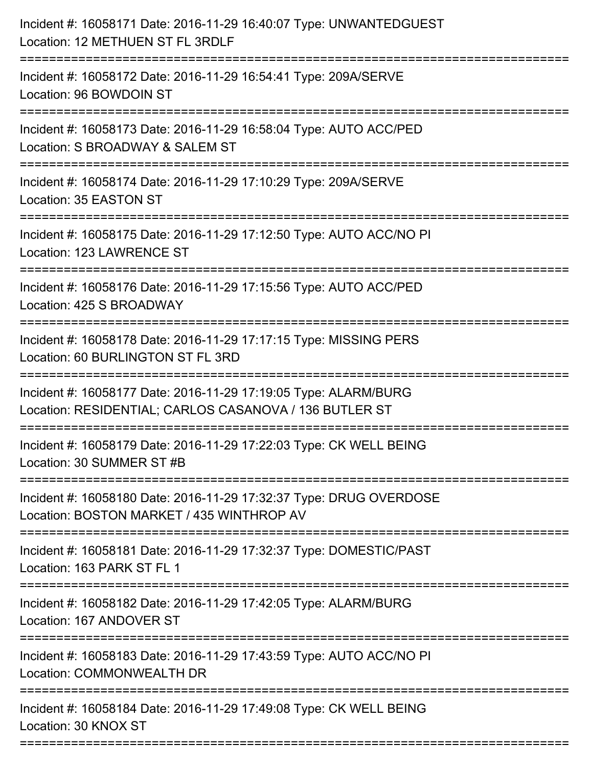| Incident #: 16058171 Date: 2016-11-29 16:40:07 Type: UNWANTEDGUEST<br>Location: 12 METHUEN ST FL 3RDLF                           |
|----------------------------------------------------------------------------------------------------------------------------------|
| Incident #: 16058172 Date: 2016-11-29 16:54:41 Type: 209A/SERVE<br>Location: 96 BOWDOIN ST                                       |
| Incident #: 16058173 Date: 2016-11-29 16:58:04 Type: AUTO ACC/PED<br>Location: S BROADWAY & SALEM ST                             |
| Incident #: 16058174 Date: 2016-11-29 17:10:29 Type: 209A/SERVE<br>Location: 35 EASTON ST                                        |
| Incident #: 16058175 Date: 2016-11-29 17:12:50 Type: AUTO ACC/NO PI<br>Location: 123 LAWRENCE ST                                 |
| Incident #: 16058176 Date: 2016-11-29 17:15:56 Type: AUTO ACC/PED<br>Location: 425 S BROADWAY                                    |
| Incident #: 16058178 Date: 2016-11-29 17:17:15 Type: MISSING PERS<br>Location: 60 BURLINGTON ST FL 3RD                           |
| Incident #: 16058177 Date: 2016-11-29 17:19:05 Type: ALARM/BURG<br>Location: RESIDENTIAL; CARLOS CASANOVA / 136 BUTLER ST        |
| Incident #: 16058179 Date: 2016-11-29 17:22:03 Type: CK WELL BEING<br>Location: 30 SUMMER ST #B                                  |
| Incident #: 16058180 Date: 2016-11-29 17:32:37 Type: DRUG OVERDOSE<br>Location: BOSTON MARKET / 435 WINTHROP AV                  |
| Incident #: 16058181 Date: 2016-11-29 17:32:37 Type: DOMESTIC/PAST<br>Location: 163 PARK ST FL 1                                 |
| Incident #: 16058182 Date: 2016-11-29 17:42:05 Type: ALARM/BURG<br>Location: 167 ANDOVER ST                                      |
| ----------------------------<br>Incident #: 16058183 Date: 2016-11-29 17:43:59 Type: AUTO ACC/NO PI<br>Location: COMMONWEALTH DR |
| Incident #: 16058184 Date: 2016-11-29 17:49:08 Type: CK WELL BEING<br>Location: 30 KNOX ST                                       |
|                                                                                                                                  |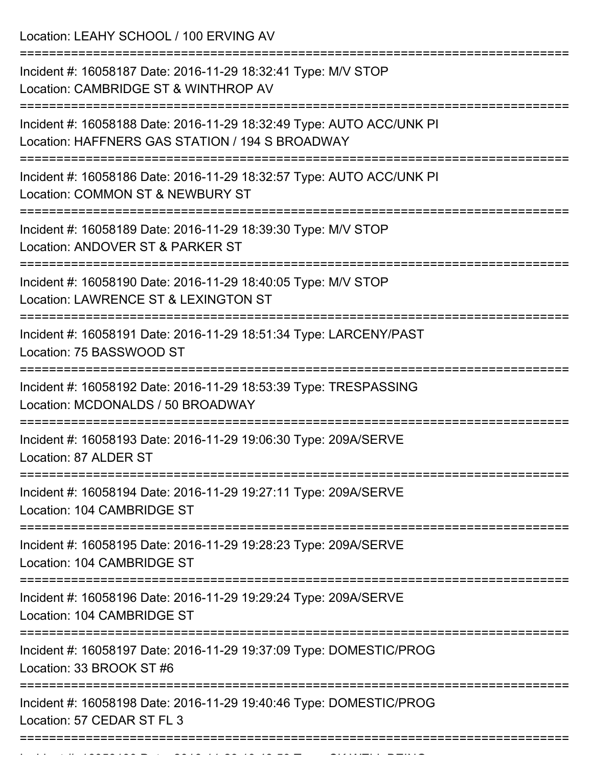Location: LEAHY SCHOOL / 100 ERVING AV =========================================================================== Incident #: 16058187 Date: 2016-11-29 18:32:41 Type: M/V STOP Location: CAMBRIDGE ST & WINTHROP AV =========================================================================== Incident #: 16058188 Date: 2016-11-29 18:32:49 Type: AUTO ACC/UNK PI Location: HAFFNERS GAS STATION / 194 S BROADWAY =========================================================================== Incident #: 16058186 Date: 2016-11-29 18:32:57 Type: AUTO ACC/UNK PI Location: COMMON ST & NEWBURY ST =========================================================================== Incident #: 16058189 Date: 2016-11-29 18:39:30 Type: M/V STOP Location: ANDOVER ST & PARKER ST =========================================================================== Incident #: 16058190 Date: 2016-11-29 18:40:05 Type: M/V STOP Location: LAWRENCE ST & LEXINGTON ST =========================================================================== Incident #: 16058191 Date: 2016-11-29 18:51:34 Type: LARCENY/PAST Location: 75 BASSWOOD ST =========================================================================== Incident #: 16058192 Date: 2016-11-29 18:53:39 Type: TRESPASSING Location: MCDONALDS / 50 BROADWAY =========================================================================== Incident #: 16058193 Date: 2016-11-29 19:06:30 Type: 209A/SERVE Location: 87 ALDER ST =========================================================================== Incident #: 16058194 Date: 2016-11-29 19:27:11 Type: 209A/SERVE Location: 104 CAMBRIDGE ST =========================================================================== Incident #: 16058195 Date: 2016-11-29 19:28:23 Type: 209A/SERVE Location: 104 CAMBRIDGE ST =========================================================================== Incident #: 16058196 Date: 2016-11-29 19:29:24 Type: 209A/SERVE Location: 104 CAMBRIDGE ST =========================================================================== Incident #: 16058197 Date: 2016-11-29 19:37:09 Type: DOMESTIC/PROG Location: 33 BROOK ST #6 =========================================================================== Incident #: 16058198 Date: 2016-11-29 19:40:46 Type: DOMESTIC/PROG Location: 57 CEDAR ST FL 3 ===========================================================================

Incident #: 16058199 Date: 2016 11 29 19:48:59 Type: CK WELL BEING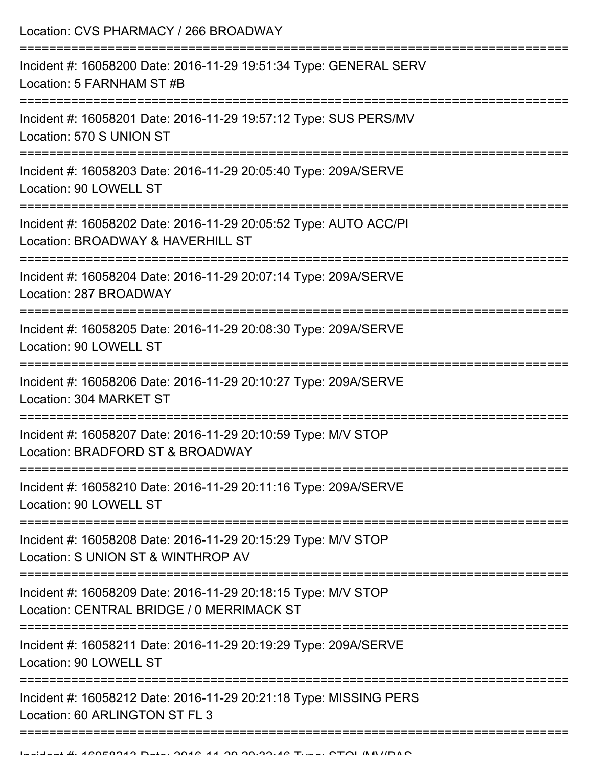| Location: CVS PHARMACY / 266 BROADWAY                                                                      |
|------------------------------------------------------------------------------------------------------------|
| Incident #: 16058200 Date: 2016-11-29 19:51:34 Type: GENERAL SERV<br>Location: 5 FARNHAM ST #B             |
| Incident #: 16058201 Date: 2016-11-29 19:57:12 Type: SUS PERS/MV<br>Location: 570 S UNION ST               |
| Incident #: 16058203 Date: 2016-11-29 20:05:40 Type: 209A/SERVE<br>Location: 90 LOWELL ST                  |
| Incident #: 16058202 Date: 2016-11-29 20:05:52 Type: AUTO ACC/PI<br>Location: BROADWAY & HAVERHILL ST      |
| Incident #: 16058204 Date: 2016-11-29 20:07:14 Type: 209A/SERVE<br>Location: 287 BROADWAY                  |
| Incident #: 16058205 Date: 2016-11-29 20:08:30 Type: 209A/SERVE<br>Location: 90 LOWELL ST                  |
| Incident #: 16058206 Date: 2016-11-29 20:10:27 Type: 209A/SERVE<br>Location: 304 MARKET ST                 |
| Incident #: 16058207 Date: 2016-11-29 20:10:59 Type: M/V STOP<br>Location: BRADFORD ST & BROADWAY          |
| Incident #: 16058210 Date: 2016-11-29 20:11:16 Type: 209A/SERVE<br>Location: 90 LOWELL ST                  |
| Incident #: 16058208 Date: 2016-11-29 20:15:29 Type: M/V STOP<br>Location: S UNION ST & WINTHROP AV        |
| Incident #: 16058209 Date: 2016-11-29 20:18:15 Type: M/V STOP<br>Location: CENTRAL BRIDGE / 0 MERRIMACK ST |
| Incident #: 16058211 Date: 2016-11-29 20:19:29 Type: 209A/SERVE<br>Location: 90 LOWELL ST                  |
| Incident #: 16058212 Date: 2016-11-29 20:21:18 Type: MISSING PERS<br>Location: 60 ARLINGTON ST FL 3        |
|                                                                                                            |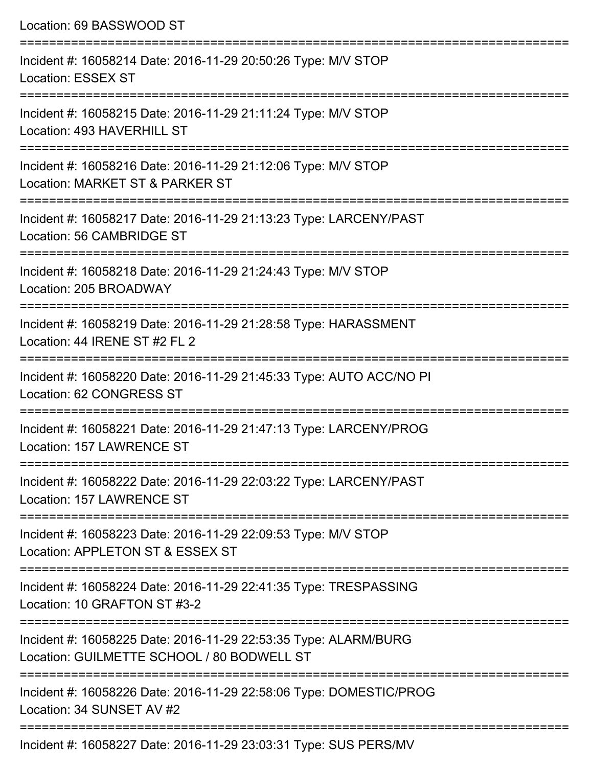| Incident #: 16058214 Date: 2016-11-29 20:50:26 Type: M/V STOP<br><b>Location: ESSEX ST</b><br>==============================<br>Incident #: 16058215 Date: 2016-11-29 21:11:24 Type: M/V STOP |
|-----------------------------------------------------------------------------------------------------------------------------------------------------------------------------------------------|
|                                                                                                                                                                                               |
| Location: 493 HAVERHILL ST                                                                                                                                                                    |
| Incident #: 16058216 Date: 2016-11-29 21:12:06 Type: M/V STOP<br>Location: MARKET ST & PARKER ST                                                                                              |
| Incident #: 16058217 Date: 2016-11-29 21:13:23 Type: LARCENY/PAST<br>Location: 56 CAMBRIDGE ST                                                                                                |
| Incident #: 16058218 Date: 2016-11-29 21:24:43 Type: M/V STOP<br>Location: 205 BROADWAY                                                                                                       |
| Incident #: 16058219 Date: 2016-11-29 21:28:58 Type: HARASSMENT<br>Location: 44 IRENE ST #2 FL 2                                                                                              |
| Incident #: 16058220 Date: 2016-11-29 21:45:33 Type: AUTO ACC/NO PI<br>Location: 62 CONGRESS ST                                                                                               |
| Incident #: 16058221 Date: 2016-11-29 21:47:13 Type: LARCENY/PROG<br>Location: 157 LAWRENCE ST                                                                                                |
| Incident #: 16058222 Date: 2016-11-29 22:03:22 Type: LARCENY/PAST<br>Location: 157 LAWRENCE ST                                                                                                |
| Incident #: 16058223 Date: 2016-11-29 22:09:53 Type: M/V STOP<br>Location: APPLETON ST & ESSEX ST                                                                                             |
| Incident #: 16058224 Date: 2016-11-29 22:41:35 Type: TRESPASSING<br>Location: 10 GRAFTON ST #3-2                                                                                              |
| Incident #: 16058225 Date: 2016-11-29 22:53:35 Type: ALARM/BURG<br>Location: GUILMETTE SCHOOL / 80 BODWELL ST                                                                                 |
| Incident #: 16058226 Date: 2016-11-29 22:58:06 Type: DOMESTIC/PROG<br>Location: 34 SUNSET AV #2                                                                                               |

Incident #: 16058227 Date: 2016-11-29 23:03:31 Type: SUS PERS/MV